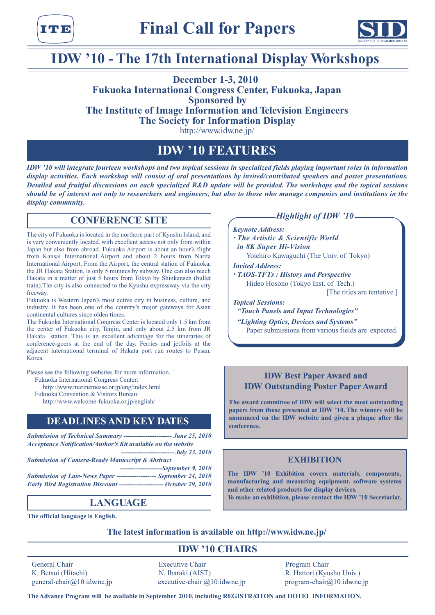тте



# **IDW '10 - The 17th International Display Workshops**

# **2010 1-3, December Fukuoka International Congress Center, Fukuoka, Japan Sponsored** by **The Institute of Image Information and Television Engineers The Society for Information Display**

http://www.idw.ne.jp/

# **FEATURES 10 'IDW**

*IDW* '10 will integrate fourteen workshops and two topical sessions in specialized fields playing important roles in information *display activities. Each workshop will consist of oral presentations by invited/contributed speakers and poster presentations. Detailed and fruitful discussions on each specialized R&D update will be provided. The workshops and the topical sessions should be of interest not only to researchers and engineers, but also to those who manage companies and institutions in the* display community.

# **CONFERENCE SITE**

The city of Fukuoka is located in the northern part of Kyushu Island, and is very conveniently located, with excellent access not only from within Japan but also from abroad. Fukuoka Airport is about an hour's flight from Kansai International Airport and about 2 hours from Narita International Airport. From the Airport, the central station of Fukuoka, the JR Hakata Station, is only 5 minutes by subway. One can also reach Hakata in a matter of just 5 hours from Tokyo by Shinkansen (bullet train). The city is also connected to the Kyushu expressway via the city freeway.

Fukuoka is Western Japan's most active city in business, culture, and industry. It has been one of the country's major gateways for Asian continental cultures since olden times.

The Fukuoka International Congress Center is located only 1.5 km from the center of Fukuoka city, Tenjin, and only about 2.5 km from JR Hakata station. This is an excellent advantage for the itineraries of conference-goers at the end of the day. Ferries and jetfoils at the adjacent international terminal of Hakata port run routes to Pusan, Korea.

Please see the following websites for more information.

Fukuoka International Congress Center:

http://www.marinemesse.or.jp/eng/index.html

Fukuoka Convention & Visitors Bureau:

http://www.welcome-fukuoka.or.jp/english/

# **DEADLINES AND KEY DATES**

*Submission of Technical Summary ---------------------- June 25, 2010 Acceptance Notification/Author's Kit available on the website 2010 23, July ------------------------ Submission of Camera-Ready Manuscript & Abstract 2010 9, September-------------------*

*2010 24, Submission of Late-News Paper* ------------------- *September 24, 2010* **100' Early Bird Registration Discount -------------------- October 29, 2010** 

# **LANGUAGE**

**The official language is English.** 

## *<i>Highlight of IDW '10*

*Keynote Address:* 

*Whe Artistic & Scientific World in 8K Super Hi-Vision* 

Yoichiro Kawaguchi (The Univ. of Tokyo)

**Invited Address:** 

*PERFERE: History and Perspective* Hideo Hosono (Tokyo Inst. of Tech.)

[The titles are tentative.]

**Topical Sessions:** 

"Touch Panels and Input Technologies"

"Lighting Optics, Devices and Systems" Paper submissions from various fields are expected.

## **IDW Best Paper Award and IDW Outstanding Poster Paper Award**

The award committee of IDW will select the most outstanding papers from those presented at IDW '10. The winners will be announced on the IDW website and given a plaque after the **.conference**

## **EXHIBITION**

The IDW '10 Exhibition covers materials, components, **nanufacturing** and measuring equipment, software systems **and other related products for display devices.** To make an exhibition, please contact the IDW '10 Secretariat.

The latest information is available on http://www.idw.ne.jp/

# **IDW** '10 **CHAIRS**

general-chair@10.idw.ne.jp

General Chair **Executive Chair** Program Chair **Program Chair** (.Univ Kyushu (Hattori .R) AIST (Ibaraki .N) Hitachi (Betsui .K executive-chair  $@10$ .idw.ne.jp

 $program\text{-}chair@10.idw.ne.jp$ 

The Advance Program will be available in September 2010, including REGISTRATION and HOTEL INFORMATION.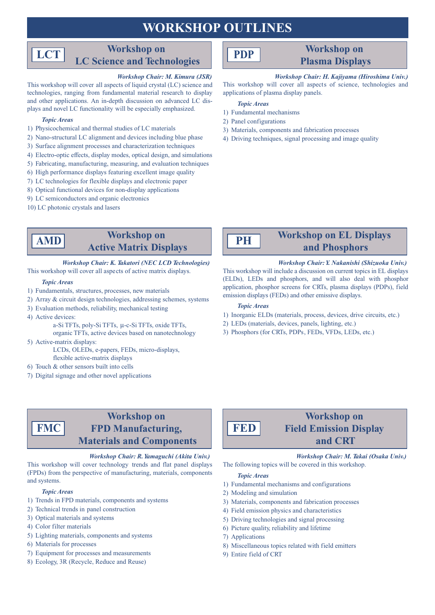# **WORKSHOP OUTLINES**

# **Workshop** on **LC** Science and Technologies

### *Workshop Chair: M. Kimura (JSR)*

This workshop will cover all aspects of liquid crystal (LC) science and technologies, ranging from fundamental material research to display plays and novel LC functionality will be especially emphasized. and other applications. An in-depth discussion on advanced LC dis-

### *Areas Topic*

**LCT**

- 1) Physicochemical and thermal studies of LC materials
- 2) Nano-structural LC alignment and devices including blue phase
- 3) Surface alignment processes and characterization techniques
- 4) Electro-optic effects, display modes, optical design, and simulations
- 5) Fabricating, manufacturing, measuring, and evaluation techniques
- $\delta$ ) High performance displays featuring excellent image quality
- 7) LC technologies for flexible displays and electronic paper
- 8) Optical functional devices for non-display applications
- 9) LC semiconductors and organic electronics
- 10) LC photonic crystals and lasers

# **Workshop** on **Active Matrix Displays**

## *Korkshop Chair: K. Takatori (NEC LCD Technologies)*

## This workshop will cover all aspects of active matrix displays.

### *Areas Topic*

**AMD**

- 1) Fundamentals, structures, processes, new materials
- 2) Array & circuit design technologies, addressing schemes, systems
- 3) Evaluation methods, reliability, mechanical testing
- 4) Active devices:
	- a-Si TFTs, poly-Si TFTs, µ-c-Si TFTs, oxide TFTs,
- organic TFTs, active devices based on nanotechnology 5) Active-matrix displays:

LCDs, OLEDs, e-papers, FEDs, micro-displays, flexible active-matrix displays

- 6) Touch  $&$  other sensors built into cells
- 7) Digital signage and other novel applications

# **Workshop** on **FPD** Manufacturing, **Materials and Components**

*Workshop Chair: R. Yamaguchi (Akita Univ.)* This workshop will cover technology trends and flat panel displays (FPDs) from the perspective of manufacturing, materials, components and systems.

#### *Areas Topic*

**FMC**

- 1) Trends in FPD materials, components and systems
- 2) Technical trends in panel construction
- 3) Optical materials and systems
- 4) Color filter materials
- 5) Lighting materials, components and systems
- 6) Materials for processes
- 7) Equipment for processes and measurements
- 8) Ecology, 3R (Recycle, Reduce and Reuse)

# **PDP**

# **Workshop** on

# **Displays Plasma**

## *Workshop Chair: H. Kajiyama (Hiroshima Univ.)*

This workshop will cover all aspects of science, technologies and applications of plasma display panels.

*Areas Topic*

- 1) Fundamental mechanisms
- 2) Panel configurations
- 3) Materials, components and fabrication processes
- 4) Driving techniques, signal processing and image quality



# **Workshop on EL Displays** and Phosphors

### *Workshop Chair: Y. Nakanishi (Shizuoka Univ.)*

This workshop will include a discussion on current topics in EL displays (ELDs), LEDs and phosphors, and will also deal with phosphor application, phosphor screens for CRTs, plasma displays (PDPs), field emission displays (FEDs) and other emissive displays.

## *Areas Topic*

- 1) Inorganic ELDs (materials, process, devices, drive circuits, etc.)
- 2) LEDs (materials, devices, panels, lighting, etc.)
- 3) Phosphors (for CRTs, PDPs, FEDs, VFDs, LEDs, etc.)



# **Workshop** on **Field Emission Display CRT and**

*Workshop Chair: M. Takai (Osaka Univ.)* The following topics will be covered in this workshop.

### *Topic Areas*

- 1) Fundamental mechanisms and configurations
- 2) Modeling and simulation
- 3) Materials, components and fabrication processes
- 4) Field emission physics and characteristics
- 5) Driving technologies and signal processing
- 6) Picture quality, reliability and lifetime
- 7) Applications
- 8) Miscellaneous topics related with field emitters
- 9) Entire field of CRT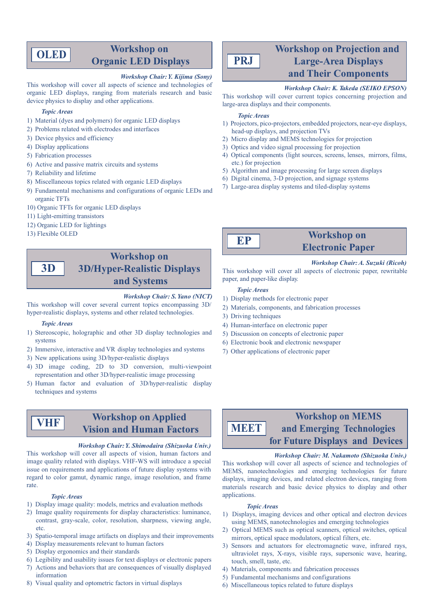# **OLED**

## **Workshop** on **Displays LED Organic**

### *Workshop Chair: Y. Kijima (Sony)*

This workshop will cover all aspects of science and technologies of organic LED displays, ranging from materials research and basic device physics to display and other applications.

#### *Topic Areas*

- 1) Material (dyes and polymers) for organic LED displays
- 2) Problems related with electrodes and interfaces
- 3) Device physics and efficiency
- 4) Display applications
- 5) Fabrication processes
- 6) Active and passive matrix circuits and systems
- 7) Reliability and lifetime
- 8) Miscellaneous topics related with organic LED displays
- 9) Fundamental mechanisms and configurations of organic LEDs and organic TFTs
- 10) Organic TFTs for organic LED displays
- 11) Light-emitting transistors
- 12) Organic LED for lightings
- 13) Flexible OLED

## **Workshop** on **3D/Hyper-Realistic Displays** and **Systems D3**

#### *Workshop Chair: S. Yano (NICT)*

This workshop will cover several current topics encompassing 3D/ hyper-realistic displays, systems and other related technologies.

#### *Topic* Areas

**VHF**

- 1) Stereoscopic, holographic and other 3D display technologies and systems
- 2) Immersive, interactive and VR display technologies and systems
- 3) New applications using 3D/hyper-realistic displays
- 4) 3D image coding, 2D to 3D conversion, multi-viewpoint representation and other 3D/hyper-realistic image processing
- 5) Human factor and evaluation of 3D/hyper-realistic display techniques and systems

# **Workshop on Applied Fision and Human Factors**

#### *Workshop Chair: Y. Shimodaira (Shizuoka Univ.)*

This workshop will cover all aspects of vision, human factors and image quality related with displays. VHF-WS will introduce a special issue on requirements and applications of future display systems with regard to color gamut, dynamic range, image resolution, and frame .rate

#### *Areas Topic*

- 1) Display image quality: models, metrics and evaluation methods
- 2) Image quality requirements for display characteristics: luminance, contrast, gray-scale, color, resolution, sharpness, viewing angle, .etc
- 3) Spatio-temporal image artifacts on displays and their improvements
- 4) Display measurements relevant to human factors
- 5) Display ergonomics and their standards
- 6) Legibility and usability issues for text displays or electronic papers
- 7) Actions and behaviors that are consequences of visually displayed information
- 8) Visual quality and optometric factors in virtual displays

# **Workshop on Projection and Large-Area Displays and Their Components**

## *Workshop Chair: K. Takeda (SEIKO EPSON)*

This workshop will cover current topics concerning projection and large-area displays and their components.

#### *Areas Topic*

**PRJ**

- 1) Projectors, pico-projectors, embedded projectors, near-eye displays, head-up displays, and projection TVs
- 2) Micro display and MEMS technologies for projection
- 3) Optics and video signal processing for projection
- 4) Optical components (light sources, screens, lenses, mirrors, films, etc.) for projection
- 5) Algorithm and image processing for large screen displays
- 6) Digital cinema,  $3-D$  projection, and signage systems
- 7) Large-area display systems and tiled-display systems



# **Workshop** on **Electronic Paper**

### *Workshop Chair: A. Suzuki (Ricoh)*

This workshop will cover all aspects of electronic paper, rewritable paper, and paper-like display.

#### *Topic Areas*

- 1) Display methods for electronic paper
- 2) Materials, components, and fabrication processes
- 3) Driving techniques
- 4) Human-interface on electronic paper
- 5) Discussion on concepts of electronic paper
- 6) Electronic book and electronic newspaper
- 7) Other applications of electronic paper

## **Workshop on MEMS** and Emerging Technologies  **for Future Displays and Devices MEET**

### *Workshop Chair: M. Nakamoto (Shizuoka Univ.)*

This workshop will cover all aspects of science and technologies of MEMS, nanotechnologies and emerging technologies for future displays, imaging devices, and related electron devices, ranging from materials research and basic device physics to display and other .applications

#### *Areas Topic*

- 1) Displays, imaging devices and other optical and electron devices using MEMS, nanotechnologies and emerging technologies
- 2) Optical MEMS such as optical scanners, optical switches, optical mirrors, optical space modulators, optical filters, etc.
- 3) Sensors and actuators for electromagnetic wave, infrared rays, ultraviolet rays, X-rays, visible rays, supersonic wave, hearing, touch, smell, taste, etc.
- 4) Materials, components and fabrication processes
- 5) Fundamental mechanisms and configurations
- $\delta$ ) Miscellaneous topics related to future displays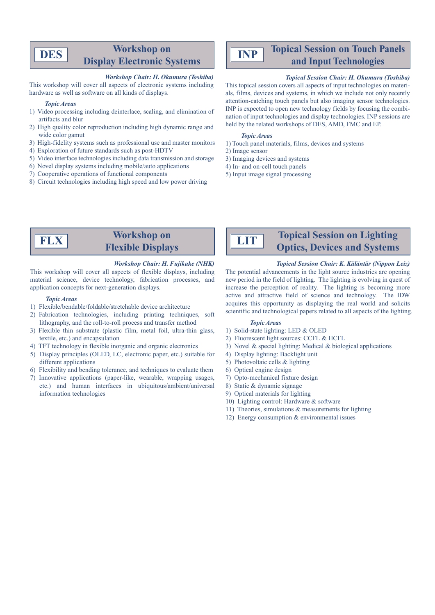# **Workshop** on **Display Electronic Systems**

#### *Workshop Chair: H. Okumura (Toshiba)*

This workshop will cover all aspects of electronic systems including hardware as well as software on all kinds of displays.

#### *Topic Areas*

**DES**

- 1) Video processing including deinterlace, scaling, and elimination of artifacts and blur
- 2) High quality color reproduction including high dynamic range and wide color gamut
- 3) High-fidelity systems such as professional use and master monitors
- 4) Exploration of future standards such as post-HDTV
- 5) Video interface technologies including data transmission and storage
- $\delta$ ) Novel display systems including mobile/auto applications
- 7) Cooperative operations of functional components
- 8) Circuit technologies including high speed and low power driving

#### **Topical Session on Touch Panels INP**and Input Technologies

## *Topical Session Chair: H. Okumura (Toshiba)*

als, films, devices and systems, in which we include not only recently This topical session covers all aspects of input technologies on materiattention-catching touch panels but also imaging sensor technologies. nation of input technologies and display technologies. INP sessions are INP is expected to open new technology fields by focusing the combiheld by the related workshops of DES, AMD, FMC and EP.

#### *Areas Topic*

- 1) Touch panel materials, films, devices and systems
- 2) Image sensor
- 3) Imaging devices and systems
- 4) In- and on-cell touch panels
- 5) Input image signal processing



# **Workshop** on **Flexible Displays**

### *Workshop Chair: H. Fujikake (NHK)*

This workshop will cover all aspects of flexible displays, including material science, device technology, fabrication processes, and application concepts for next-generation displays.

### *Topic Areas*

- 1) Flexible/bendable/foldable/stretchable device architecture
- 2) Fabrication technologies, including printing techniques, soft lithography, and the roll-to-roll process and transfer method
- 3) Flexible thin substrate (plastic film, metal foil, ultra-thin glass, textile, etc.) and encapsulation
- 4) TFT technology in flexible inorganic and organic electronics
- 5) Display principles (OLED, LC, electronic paper, etc.) suitable for different applications
- 6) Flexibility and bending tolerance, and techniques to evaluate them
- 7) Innovative applications (paper-like, wearable, wrapping usages, etc.) and human interfaces in ubiquitous/ambient/universal information technologies

**LIT**

# **Optics, Devices and Systems**

**Topical Session on Lighting** 

**Topical Session Chair: K. Käläntär (Nippon Leiz)** The potential advancements in the light source industries are opening new period in the field of lighting. The lighting is evolving in quest of increase the perception of reality. The lighting is becoming more active and attractive field of science and technology. The IDW acquires this opportunity as displaying the real world and solicits scientific and technological papers related to all aspects of the lighting

## *Areas Topic*

- 1) Solid-state lighting: LED & OLED
- 2) Fluorescent light sources: CCFL  $&$  HCFL
- 3) Novel & special lighting: Medical & biological applications
- 4) Display lighting: Backlight unit
- 5) Photovoltaic cells  $&$  lighting
- 6) Optical engine design
- 7) Opto-mechanical fixture design
- 8) Static  $&$  dynamic signage
- 9) Optical materials for lighting
- 10) Lighting control: Hardware  $&$  software
- 11) Theories, simulations  $&$  measurements for lighting
- 12) Energy consumption  $&$  environmental issues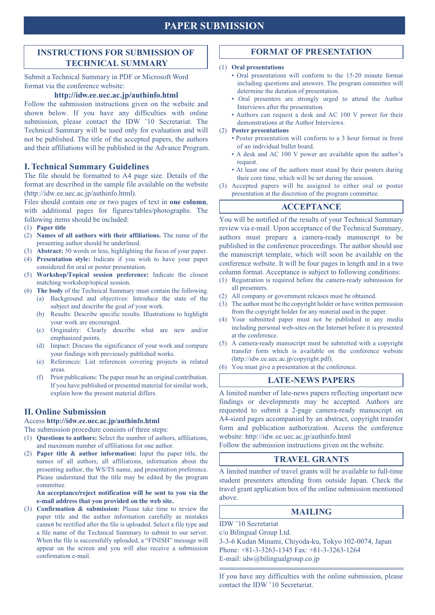# **PAPER SUBMISSION**

## **INSTRUCTIONS FOR SUBMISSION OF TECHNICAL SUMMARY**

Submit a Technical Summary in PDF or Microsoft Word format via the conference website:

### http://idw.ee.uec.ac.jp/authinfo.html

Follow the submission instructions given on the website and shown below. If you have any difficulties with online submission, please contact the IDW '10 Secretariat. The Technical Summary will be used only for evaluation and will not be published. The title of the accepted papers, the authors and their affiliations will be published in the Advance Program.

## **I. Technical Summary Guidelines**

The file should be formatted to A4 page size. Details of the format are described in the sample file available on the website  $(\text{http://idw.ee.uec.ac.jp/authinfo.html}).$ 

Files should contain one or two pages of text in one column, with additional pages for figures/tables/photographs. The following items should be included:

### (1) Paper title

- (2) **Names of all authors with their affiliations. The name of the** presenting author should be underlined.
- (3) **Abstract:** 50 words or less, highlighting the focus of your paper.
- (4) Presentation style: Indicate if you wish to have your paper considered for oral or poster presentation.
- (5) **Workshop/Topical session preference:** Indicate the closest matching workshop/topical session.
- (6) The body of the Technical Summary must contain the following. (a) Background and objectives: Introduce the state of the
	- subject and describe the goal of your work. (b) Results: Describe specific results. Illustrations to highlight
		- your work are encouraged.
	- $(c)$  Originality: Clearly describe what are new and/or emphasized points.
	- (d) Impact: Discuss the significance of your work and compare your findings with previously published works.
	- (e) References: List references covering projects in related .areas
	- $(f)$  Prior publications: The paper must be an original contribution. If you have published or presented material for similar work, explain how the present material differs.

## **II. Online Submission**

Access http://idw.ee.uec.ac.jp/authinfo.html

The submission procedure consists of three steps:

- (1) **Questions to authors:** Select the number of authors, affiliations, and maximum number of affiliations for one author.
- (2) **Paper title & author information:** Input the paper title, the names of all authors, all affiliations, information about the presenting author, the WS/TS name, and presentation preference. Please understand that the title may be edited by the program .committee

An acceptance/reject notification will be sent to you via the e-mail address that you provided on the web site.

(3) **Confirmation & submission:** Please take time to review the paper title and the author information carefully as mistakes cannot be rectified after the file is uploaded. Select a file type and a file name of the Technical Summary to submit to our server. When the file is successfully uploaded, a "FINISH" message will appear on the screen and you will also receive a submission confirmation e-mail.

## **FORMAT OF PRESENTATION**

#### *(1)* **Oral** presentations

- Oral presentations will conform to the 15-20 minute format including questions and answers. The program committee will determine the duration of presentation.
- Oral presenters are strongly urged to attend the Author Interviews after the presentation.
- Authors can request a desk and AC 100 V power for their demonstrations at the Author Interviews.

#### **(2)** Poster presentations

- Poster presentation will conform to a 3 hour format in front of an individual bullet board.
- A desk and AC 100 V power are available upon the author's .request
- At least one of the authors must stand by their posters during their core time, which will be set during the session.
- (3) Accepted papers will be assigned to either oral or poster presentation at the discretion of the program committee.

## **ACCEPTANCE**

You will be notified of the results of your Technical Summary review via e-mail. Upon acceptance of the Technical Summary, authors must prepare a camera-ready manuscript to be published in the conference proceedings. The author should use the manuscript template, which will soon be available on the conference website. It will be four pages in length and in a two column format. Acceptance is subject to following conditions:

- $f(1)$  Registration is required before the camera-ready submission for all presenters.
- (2) All company or government releases must be obtained.
- $p(x)$  The author must be the copyright holder or have written permission from the copyright holder for any material used in the paper.
- (4) Your submitted paper must not be published in any media including personal web-sites on the Internet before it is presented at the conference.
- $(5)$  A camera-ready manuscript must be submitted with a copyright transfer form which is available on the conference website (http://idw.ee.uec.ac.jp/copyright.pdf).
- $(6)$  You must give a presentation at the conference.

## **LATE-NEWS PAPERS**

A limited number of late-news papers reflecting important new findings or developments may be accepted. Authors are requested to submit a 2-page camera-ready manuscript on A4-sized pages accompanied by an abstract, copyright transfer form and publication authorization. Access the conference website: http://idw.ee.uec.ac.jp/authinfo.html

Follow the submission instructions given on the website.

## **TRAVEL GRANTS**

A limited number of travel grants will be available to full-time student presenters attending from outside Japan. Check the travel grant application box of the online submission mentioned .above

## **MAILING**

IDW '10 Secretariat

 $c$ o Bilingual Group Ltd. 3-3-6 Kudan Minami, Chiyoda-ku, Tokyo 102-0074, Japan Phone:  $+81-3-3263-1345$  Fax:  $+81-3-3263-1264$ 

E-mail: idw@bilingualgroup.co.jp

If you have any difficulties with the online submission, please contact the IDW '10 Secretariat.